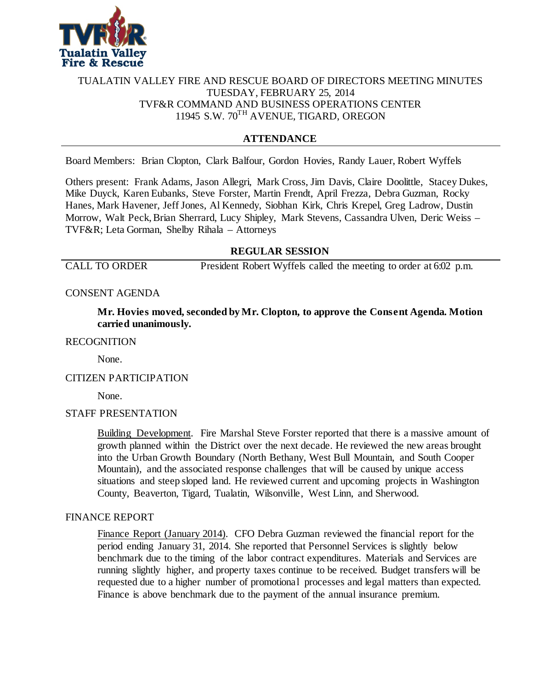

# TUALATIN VALLEY FIRE AND RESCUE BOARD OF DIRECTORS MEETING MINUTES TUESDAY, FEBRUARY 25, 2014 TVF&R COMMAND AND BUSINESS OPERATIONS CENTER 11945 S.W. 70TH AVENUE, TIGARD, OREGON

# **ATTENDANCE**

Board Members: Brian Clopton, Clark Balfour, Gordon Hovies, Randy Lauer, Robert Wyffels

Others present: Frank Adams, Jason Allegri, Mark Cross, Jim Davis, Claire Doolittle, Stacey Dukes, Mike Duyck, Karen Eubanks, Steve Forster, Martin Frendt, April Frezza, Debra Guzman, Rocky Hanes, Mark Havener, Jeff Jones, Al Kennedy, Siobhan Kirk, Chris Krepel, Greg Ladrow, Dustin Morrow, Walt Peck, Brian Sherrard, Lucy Shipley, Mark Stevens, Cassandra Ulven, Deric Weiss – TVF&R; Leta Gorman, Shelby Rihala – Attorneys

# **REGULAR SESSION**

CALL TO ORDER President Robert Wyffels called the meeting to order at 6:02 p.m.

### CONSENT AGENDA

**Mr. Hovies moved, seconded by Mr. Clopton, to approve the Consent Agenda. Motion carried unanimously.**

#### RECOGNITION

None.

### CITIZEN PARTICIPATION

None.

### STAFF PRESENTATION

Building Development. Fire Marshal Steve Forster reported that there is a massive amount of growth planned within the District over the next decade. He reviewed the new areas brought into the Urban Growth Boundary (North Bethany, West Bull Mountain, and South Cooper Mountain), and the associated response challenges that will be caused by unique access situations and steep sloped land. He reviewed current and upcoming projects in Washington County, Beaverton, Tigard, Tualatin, Wilsonville, West Linn, and Sherwood.

### FINANCE REPORT

Finance Report (January 2014). CFO Debra Guzman reviewed the financial report for the period ending January 31, 2014. She reported that Personnel Services is slightly below benchmark due to the timing of the labor contract expenditures. Materials and Services are running slightly higher, and property taxes continue to be received. Budget transfers will be requested due to a higher number of promotional processes and legal matters than expected. Finance is above benchmark due to the payment of the annual insurance premium.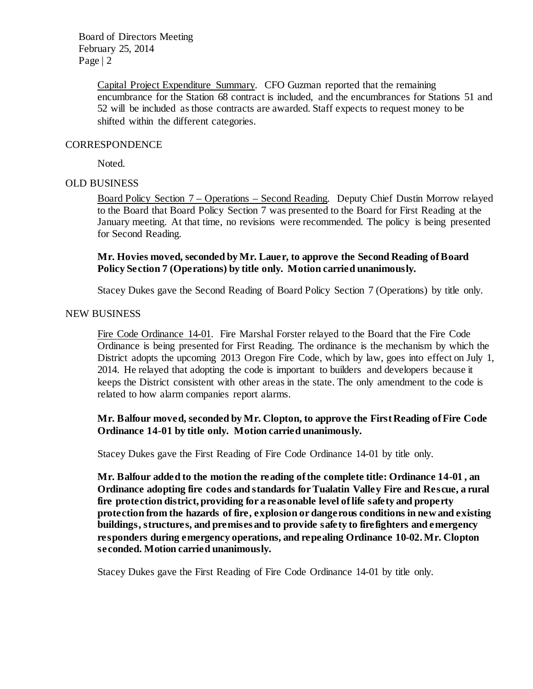> Capital Project Expenditure Summary. CFO Guzman reported that the remaining encumbrance for the Station 68 contract is included, and the encumbrances for Stations 51 and 52 will be included as those contracts are awarded. Staff expects to request money to be shifted within the different categories.

### **CORRESPONDENCE**

Noted.

### OLD BUSINESS

Board Policy Section 7 – Operations – Second Reading. Deputy Chief Dustin Morrow relayed to the Board that Board Policy Section 7 was presented to the Board for First Reading at the January meeting. At that time, no revisions were recommended. The policy is being presented for Second Reading.

### **Mr. Hovies moved, seconded by Mr. Lauer, to approve the Second Reading of Board Policy Section 7 (Operations) by title only. Motion carried unanimously.**

Stacey Dukes gave the Second Reading of Board Policy Section 7 (Operations) by title only.

#### NEW BUSINESS

Fire Code Ordinance 14-01. Fire Marshal Forster relayed to the Board that the Fire Code Ordinance is being presented for First Reading. The ordinance is the mechanism by which the District adopts the upcoming 2013 Oregon Fire Code, which by law, goes into effect on July 1, 2014. He relayed that adopting the code is important to builders and developers because it keeps the District consistent with other areas in the state. The only amendment to the code is related to how alarm companies report alarms.

# **Mr. Balfour moved, seconded by Mr. Clopton, to approve the First Reading of Fire Code Ordinance 14-01 by title only. Motion carried unanimously.**

Stacey Dukes gave the First Reading of Fire Code Ordinance 14-01 by title only.

**Mr. Balfour added to the motion the reading of the complete title: Ordinance 14-01 , an Ordinance adopting fire codes and standards for Tualatin Valley Fire and Rescue, a rural fire protection district, providing for a reasonable level of life safety and property protection from the hazards of fire, explosion or dangerous conditions in new and existing buildings, structures, and premises and to provide safety to firefighters and emergency responders during emergency operations, and repealing Ordinance 10-02.Mr. Clopton seconded. Motion carried unanimously.**

Stacey Dukes gave the First Reading of Fire Code Ordinance 14-01 by title only.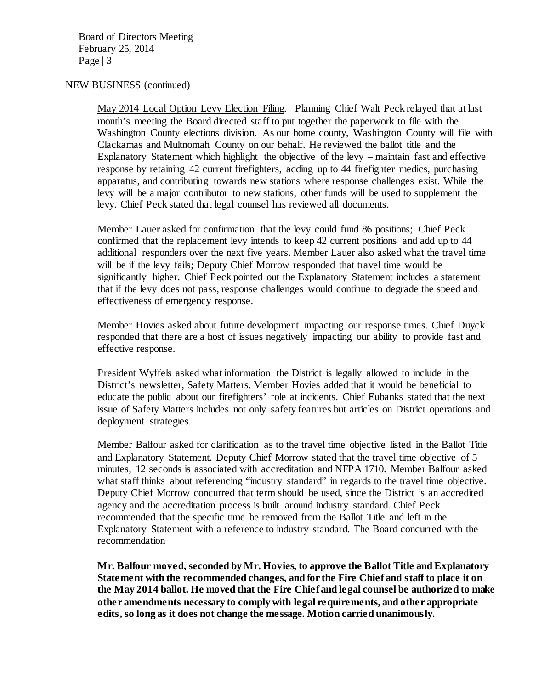#### NEW BUSINESS (continued)

May 2014 Local Option Levy Election Filing. Planning Chief Walt Peck relayed that at last month's meeting the Board directed staff to put together the paperwork to file with the Washington County elections division. As our home county, Washington County will file with Clackamas and Multnomah County on our behalf. He reviewed the ballot title and the Explanatory Statement which highlight the objective of the levy – maintain fast and effective response by retaining 42 current firefighters, adding up to 44 firefighter medics, purchasing apparatus, and contributing towards new stations where response challenges exist. While the levy will be a major contributor to new stations, other funds will be used to supplement the levy. Chief Peck stated that legal counsel has reviewed all documents.

Member Lauer asked for confirmation that the levy could fund 86 positions; Chief Peck confirmed that the replacement levy intends to keep 42 current positions and add up to 44 additional responders over the next five years. Member Lauer also asked what the travel time will be if the levy fails; Deputy Chief Morrow responded that travel time would be significantly higher. Chief Peck pointed out the Explanatory Statement includes a statement that if the levy does not pass, response challenges would continue to degrade the speed and effectiveness of emergency response.

Member Hovies asked about future development impacting our response times. Chief Duyck responded that there are a host of issues negatively impacting our ability to provide fast and effective response.

President Wyffels asked what information the District is legally allowed to include in the District's newsletter, Safety Matters. Member Hovies added that it would be beneficial to educate the public about our firefighters' role at incidents. Chief Eubanks stated that the next issue of Safety Matters includes not only safety features but articles on District operations and deployment strategies.

Member Balfour asked for clarification as to the travel time objective listed in the Ballot Title and Explanatory Statement. Deputy Chief Morrow stated that the travel time objective of 5 minutes, 12 seconds is associated with accreditation and NFPA 1710. Member Balfour asked what staff thinks about referencing "industry standard" in regards to the travel time objective. Deputy Chief Morrow concurred that term should be used, since the District is an accredited agency and the accreditation process is built around industry standard. Chief Peck recommended that the specific time be removed from the Ballot Title and left in the Explanatory Statement with a reference to industry standard. The Board concurred with the recommendation

**Mr. Balfour moved, seconded by Mr. Hovies, to approve the Ballot Title and Explanatory Statement with the recommended changes, and for the Fire Chief and staff to place it on the May 2014 ballot. He moved that the Fire Chief and legal counsel be authorized to make other amendments necessary to comply with legal requirements, and other appropriate edits, so long as it does not change the message. Motion carried unanimously.**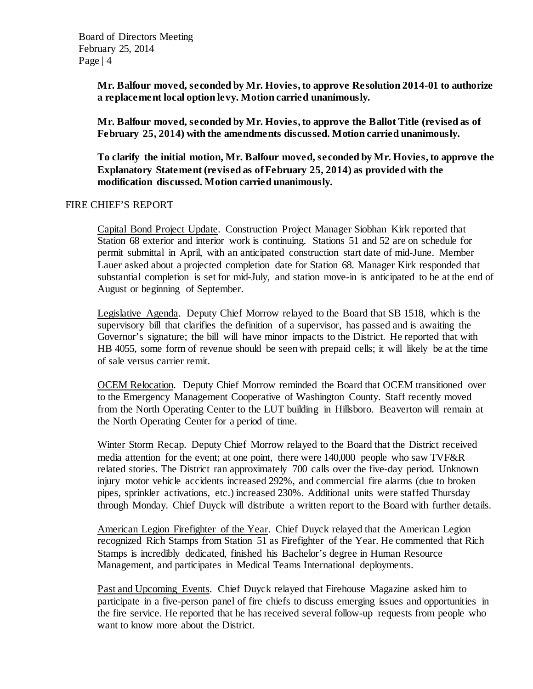**Mr. Balfour moved, seconded by Mr. Hovies, to approve Resolution 2014-01 to authorize a replacement local option levy. Motion carried unanimously.**

**Mr. Balfour moved, seconded by Mr. Hovies, to approve the Ballot Title (revised as of February 25, 2014) with the amendments discussed. Motion carried unanimously.**

**To clarify the initial motion, Mr. Balfour moved, seconded by Mr. Hovies, to approve the Explanatory Statement (revised as of February 25, 2014) as provided with the modification discussed. Motion carried unanimously.**

#### FIRE CHIEF'S REPORT

Capital Bond Project Update. Construction Project Manager Siobhan Kirk reported that Station 68 exterior and interior work is continuing. Stations 51 and 52 are on schedule for permit submittal in April, with an anticipated construction start date of mid-June. Member Lauer asked about a projected completion date for Station 68. Manager Kirk responded that substantial completion is set for mid-July, and station move-in is anticipated to be at the end of August or beginning of September.

Legislative Agenda. Deputy Chief Morrow relayed to the Board that SB 1518, which is the supervisory bill that clarifies the definition of a supervisor, has passed and is awaiting the Governor's signature; the bill will have minor impacts to the District. He reported that with HB 4055, some form of revenue should be seen with prepaid cells; it will likely be at the time of sale versus carrier remit.

OCEM Relocation. Deputy Chief Morrow reminded the Board that OCEM transitioned over to the Emergency Management Cooperative of Washington County. Staff recently moved from the North Operating Center to the LUT building in Hillsboro. Beaverton will remain at the North Operating Center for a period of time.

Winter Storm Recap. Deputy Chief Morrow relayed to the Board that the District received media attention for the event; at one point, there were 140,000 people who saw TVF&R related stories. The District ran approximately 700 calls over the five-day period. Unknown injury motor vehicle accidents increased 292%, and commercial fire alarms (due to broken pipes, sprinkler activations, etc.) increased 230%. Additional units were staffed Thursday through Monday. Chief Duyck will distribute a written report to the Board with further details.

American Legion Firefighter of the Year. Chief Duyck relayed that the American Legion recognized Rich Stamps from Station 51 as Firefighter of the Year. He commented that Rich Stamps is incredibly dedicated, finished his Bachelor's degree in Human Resource Management, and participates in Medical Teams International deployments.

Past and Upcoming Events. Chief Duyck relayed that Firehouse Magazine asked him to participate in a five-person panel of fire chiefs to discuss emerging issues and opportunities in the fire service. He reported that he has received several follow-up requests from people who want to know more about the District.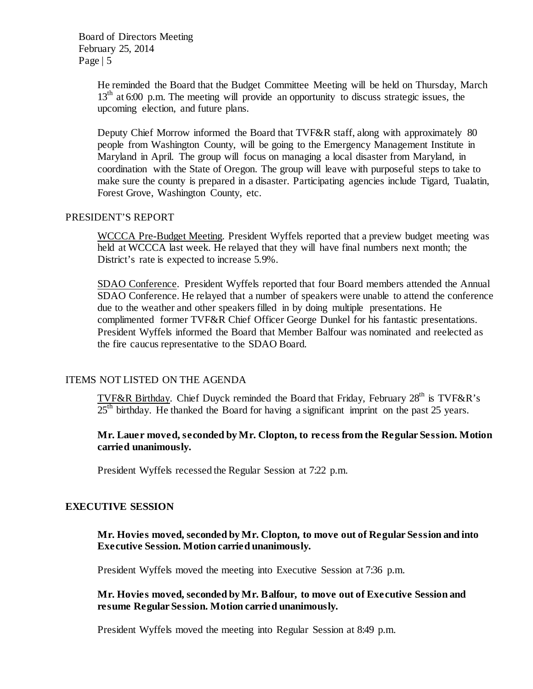> He reminded the Board that the Budget Committee Meeting will be held on Thursday, March 13<sup>th</sup> at 6:00 p.m. The meeting will provide an opportunity to discuss strategic issues, the upcoming election, and future plans.

> Deputy Chief Morrow informed the Board that TVF&R staff, along with approximately 80 people from Washington County, will be going to the Emergency Management Institute in Maryland in April. The group will focus on managing a local disaster from Maryland, in coordination with the State of Oregon. The group will leave with purposeful steps to take to make sure the county is prepared in a disaster. Participating agencies include Tigard, Tualatin, Forest Grove, Washington County, etc.

#### PRESIDENT'S REPORT

WCCCA Pre-Budget Meeting. President Wyffels reported that a preview budget meeting was held at WCCCA last week. He relayed that they will have final numbers next month; the District's rate is expected to increase 5.9%.

SDAO Conference. President Wyffels reported that four Board members attended the Annual SDAO Conference. He relayed that a number of speakers were unable to attend the conference due to the weather and other speakers filled in by doing multiple presentations. He complimented former TVF&R Chief Officer George Dunkel for his fantastic presentations. President Wyffels informed the Board that Member Balfour was nominated and reelected as the fire caucus representative to the SDAO Board.

### ITEMS NOT LISTED ON THE AGENDA

TVF&R Birthday. Chief Duyck reminded the Board that Friday, February 28<sup>th</sup> is TVF&R's 25<sup>th</sup> birthday. He thanked the Board for having a significant imprint on the past 25 years.

### **Mr. Lauer moved, seconded by Mr. Clopton, to recess from the Regular Session. Motion carried unanimously.**

President Wyffels recessed the Regular Session at 7:22 p.m.

### **EXECUTIVE SESSION**

### **Mr. Hovies moved, seconded by Mr. Clopton, to move out of Regular Session and into Executive Session. Motion carried unanimously.**

President Wyffels moved the meeting into Executive Session at 7:36 p.m.

### **Mr. Hovies moved, seconded by Mr. Balfour, to move out of Executive Session and resume Regular Session. Motion carried unanimously.**

President Wyffels moved the meeting into Regular Session at 8:49 p.m.